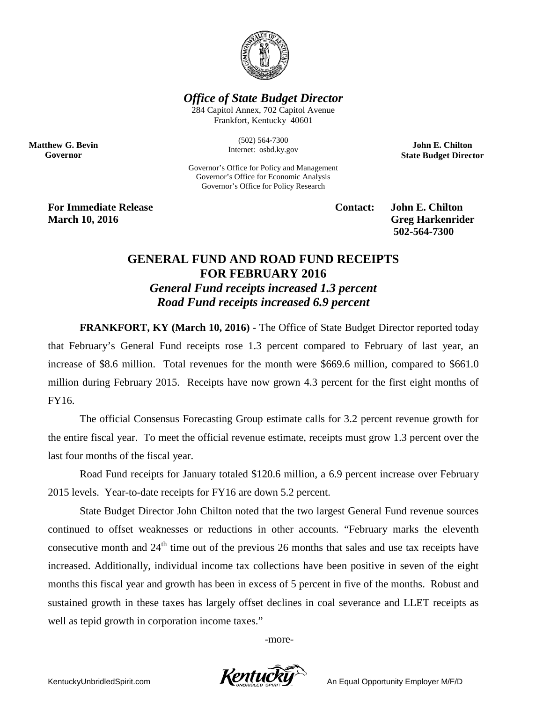

*Office of State Budget Director*

284 Capitol Annex, 702 Capitol Avenue Frankfort, Kentucky 40601

> (502) 564-7300 Internet: osbd.ky.gov

Governor's Office for Policy and Management Governor's Office for Economic Analysis Governor's Office for Policy Research

**John E. Chilton State Budget Director**

**For Immediate Release Contact: John E. Chilton March** 10, 2016 **Greg Harkenrider** 

**Matthew G. Bevin Governor**

**502-564-7300** 

## **GENERAL FUND AND ROAD FUND RECEIPTS FOR FEBRUARY 2016** *General Fund receipts increased 1.3 percent Road Fund receipts increased 6.9 percent*

**FRANKFORT, KY (March 10, 2016)** - The Office of State Budget Director reported today that February's General Fund receipts rose 1.3 percent compared to February of last year, an increase of \$8.6 million. Total revenues for the month were \$669.6 million, compared to \$661.0 million during February 2015. Receipts have now grown 4.3 percent for the first eight months of FY16.

The official Consensus Forecasting Group estimate calls for 3.2 percent revenue growth for the entire fiscal year. To meet the official revenue estimate, receipts must grow 1.3 percent over the last four months of the fiscal year.

Road Fund receipts for January totaled \$120.6 million, a 6.9 percent increase over February 2015 levels. Year-to-date receipts for FY16 are down 5.2 percent.

State Budget Director John Chilton noted that the two largest General Fund revenue sources continued to offset weaknesses or reductions in other accounts. "February marks the eleventh consecutive month and  $24<sup>th</sup>$  time out of the previous 26 months that sales and use tax receipts have increased. Additionally, individual income tax collections have been positive in seven of the eight months this fiscal year and growth has been in excess of 5 percent in five of the months. Robust and sustained growth in these taxes has largely offset declines in coal severance and LLET receipts as well as tepid growth in corporation income taxes."

-more-

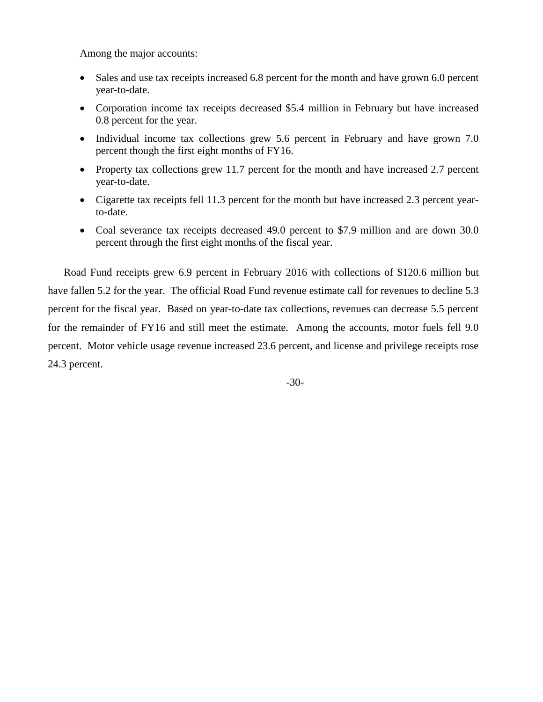Among the major accounts:

- Sales and use tax receipts increased 6.8 percent for the month and have grown 6.0 percent year-to-date.
- Corporation income tax receipts decreased \$5.4 million in February but have increased 0.8 percent for the year.
- Individual income tax collections grew 5.6 percent in February and have grown 7.0 percent though the first eight months of FY16.
- Property tax collections grew 11.7 percent for the month and have increased 2.7 percent year-to-date.
- Cigarette tax receipts fell 11.3 percent for the month but have increased 2.3 percent yearto-date.
- Coal severance tax receipts decreased 49.0 percent to \$7.9 million and are down 30.0 percent through the first eight months of the fiscal year.

Road Fund receipts grew 6.9 percent in February 2016 with collections of \$120.6 million but have fallen 5.2 for the year. The official Road Fund revenue estimate call for revenues to decline 5.3 percent for the fiscal year. Based on year-to-date tax collections, revenues can decrease 5.5 percent for the remainder of FY16 and still meet the estimate. Among the accounts, motor fuels fell 9.0 percent. Motor vehicle usage revenue increased 23.6 percent, and license and privilege receipts rose 24.3 percent.

-30-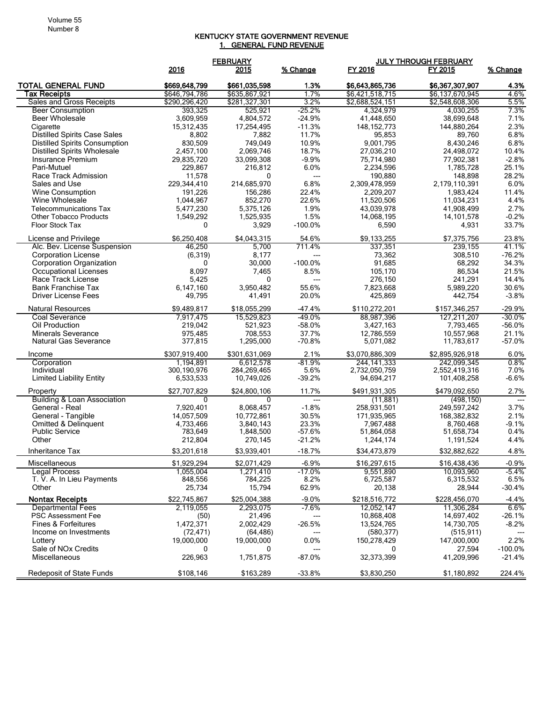## KENTUCKY STATE GOVERNMENT REVENUE 1. GENERAL FUND REVENUE

|                                                           |                        | <b>FEBRUARY</b>        |                   | <b>JULY THROUGH FEBRUARY</b> |                            |                   |
|-----------------------------------------------------------|------------------------|------------------------|-------------------|------------------------------|----------------------------|-------------------|
|                                                           | 2016                   | 2015                   | % Change          | FY 2016                      | FY 2015                    | % Change          |
| <b>TOTAL GENERAL FUND</b>                                 | \$669,648,799          | \$661,035,598          | 1.3%              | \$6,643,865,736              | \$6,367,307,907            | 4.3%              |
| Tax Receipts                                              | \$646,794,786          | \$635,867,921          | 1.7%              | \$6,421,518,715              | \$6,137,670,945            | 4.6%              |
| Sales and Gross Receipts                                  | \$290,296,420          | \$281,327,301          | 3.2%              | \$2,688,524,151              | \$2,548,608,306            | 5.5%              |
| <b>Beer Consumption</b>                                   | 393,325                | 525,921                | $-25.2%$          | 4,324,979                    | 4,030,255                  | 7.3%              |
| <b>Beer Wholesale</b>                                     | 3,609,959              | 4,804,572              | $-24.9%$          | 41,448,650                   | 38,699,648                 | 7.1%              |
| Cigarette                                                 | 15,312,435             | 17,254,495             | $-11.3%$          | 148, 152, 773                | 144,880,264                | 2.3%              |
| <b>Distilled Spirits Case Sales</b>                       | 8,802                  | 7,882                  | 11.7%             | 95,853                       | 89,760                     | 6.8%              |
| <b>Distilled Spirits Consumption</b>                      | 830,509                | 749,049                | 10.9%             | 9,001,795                    | 8,430,246                  | 6.8%              |
| <b>Distilled Spirits Wholesale</b>                        | 2,457,100              | 2,069,746              | 18.7%             | 27,036,210                   | 24,498,072                 | 10.4%             |
| Insurance Premium                                         | 29,835,720             | 33,099,308             | $-9.9%$           | 75,714,980                   | 77,902,381                 | $-2.8%$           |
| Pari-Mutuel                                               | 229,867                | 216,812                | 6.0%              | 2,234,596                    | 1,785,728                  | 25.1%             |
| Race Track Admission                                      | 11,578                 | 0                      | ---               | 190,880                      | 148,898                    | 28.2%             |
| Sales and Use<br><b>Wine Consumption</b>                  | 229,344,410<br>191,226 | 214,685,970<br>156,286 | 6.8%<br>22.4%     | 2,309,478,959<br>2,209,207   | 2,179,110,391<br>1,983,424 | 6.0%<br>11.4%     |
| Wine Wholesale                                            | 1,044,967              | 852,270                | 22.6%             | 11,520,506                   | 11,034,231                 | 4.4%              |
| <b>Telecommunications Tax</b>                             | 5,477,230              | 5,375,126              | 1.9%              | 43,039,978                   | 41,908,499                 | 2.7%              |
| <b>Other Tobacco Products</b>                             | 1,549,292              | 1,525,935              | 1.5%              | 14,068,195                   | 14,101,578                 | $-0.2%$           |
| Floor Stock Tax                                           | 0                      | 3,929                  | $-100.0%$         | 6,590                        | 4,931                      | 33.7%             |
|                                                           |                        |                        |                   |                              |                            |                   |
| License and Privilege                                     | \$6,250,408            | \$4,043,315            | 54.6%             | \$9,133,255                  | \$7,375,756                | 23.8%             |
| Alc. Bev. License Suspension                              | 46,250                 | 5,700                  | 711.4%            | 337,351                      | 239,155                    | 41.1%             |
| <b>Corporation License</b>                                | (6, 319)               | 8,177                  | ---               | 73,362                       | 308,510                    | $-76.2%$          |
| <b>Corporation Organization</b>                           | 0                      | 30,000                 | $-100.0%$         | 91,685                       | 68,292                     | 34.3%             |
| Occupational Licenses                                     | 8,097                  | 7,465                  | 8.5%              | 105,170                      | 86,534                     | 21.5%             |
| Race Track License                                        | 5,425                  | 0                      | ---               | 276,150<br>7.823.668         | 241,291                    | 14.4%             |
| <b>Bank Franchise Tax</b><br><b>Driver License Fees</b>   | 6,147,160<br>49,795    | 3,950,482              | 55.6%<br>20.0%    |                              | 5,989,220                  | 30.6%<br>$-3.8%$  |
|                                                           |                        | 41,491                 |                   | 425,869                      | 442,754                    |                   |
| Natural Resources                                         | \$9,489,817            | \$18,055,299           | $-47.4%$          | \$110,272,201                | \$157,346,257              | $-29.9%$          |
| Coal Severance                                            | 7,917,475              | 15,529,823             | $-49.0%$          | 88,987,396                   | 127,211,207                | $-30.0%$          |
| Oil Production                                            | 219,042                | 521,923                | $-58.0%$          | 3,427,163                    | 7,793,465                  | $-56.0%$          |
| <b>Minerals Severance</b><br><b>Natural Gas Severance</b> | 975,485                | 708,553                | 37.7%<br>$-70.8%$ | 12,786,559                   | 10,557,968                 | 21.1%<br>$-57.0%$ |
|                                                           | 377,815                | 1,295,000              |                   | 5,071,082                    | 11,783,617                 |                   |
| Income                                                    | \$307,919,400          | \$301,631,069          | 2.1%              | \$3,070,886,309              | \$2,895,926,918            | 6.0%              |
| Corporation                                               | 1,194,891              | 6,612,578              | $-81.9%$          | 244, 141, 333                | 242,099,345                | 0.8%              |
| Individual                                                | 300,190,976            | 284,269,465            | 5.6%              | 2,732,050,759                | 2,552,419,316              | 7.0%              |
| <b>Limited Liability Entity</b>                           | 6,533,533              | 10,749,026             | $-39.2%$          | 94,694,217                   | 101,408,258                | $-6.6%$           |
| Property                                                  | \$27,707,829           | \$24,800,106           | 11.7%             | \$491,931,305                | \$479,092,650              | 2.7%              |
| <b>Building &amp; Loan Association</b>                    | 0                      | 0                      | ---               | (11, 881)                    | (498, 150)                 | $\overline{a}$    |
| General - Real                                            | 7,920,401              | 8,068,457              | $-1.8%$           | 258,931,501                  | 249,597,242                | 3.7%              |
| General - Tangible                                        | 14,057,509             | 10,772,861             | 30.5%             | 171,935,965                  | 168,382,832                | 2.1%              |
| Omitted & Delinquent                                      | 4,733,466              | 3,840,143              | 23.3%<br>$-57.6%$ | 7,967,488                    | 8,760,468                  | $-9.1%$           |
| <b>Public Service</b><br>Other                            | 783,649<br>212,804     | 1,848,500              |                   | 51,864,058                   | 51,658,734                 | 0.4%              |
|                                                           |                        | 270,145                | $-21.2%$          | 1,244,174                    | 1,191,524                  | 4.4%              |
| Inheritance Tax                                           | \$3,201,618            | \$3,939,401            | $-18.7%$          | \$34,473,879                 | \$32,882,622               | 4.8%              |
| <b>Miscellaneous</b>                                      | \$1,929,294            | \$2,071,429            | $-6.9%$           | \$16,297,615                 | \$16,438,436               | $-0.9%$           |
| <b>Legal Process</b>                                      | 1,055,004              | 1,271,410              | $-17.0%$          | 9,551,890                    | 10,093,960                 | $-5.4%$           |
| T. V. A. In Lieu Payments                                 | 848,556                | 784,225                | 8.2%              | 6,725,587                    | 6,315,532                  | 6.5%              |
| Other                                                     | 25,734                 | 15,794                 | 62.9%             | 20,138                       | 28,944                     | $-30.4%$          |
| <b>Nontax Receipts</b>                                    | \$22,745,867           | \$25,004,388           | $-9.0%$           | \$218,516,772                | \$228,456,070              | $-4.4%$           |
| <b>Departmental Fees</b>                                  | 2,119,055              | 2,293,075              | $-7.6%$           | 12,052,147                   | 11,306,284                 | 6.6%              |
| <b>PSC Assessment Fee</b>                                 | (50)                   | 21,496                 |                   | 10,868,408                   | 14,697,402                 | $-26.1%$          |
| <b>Fines &amp; Forfeitures</b>                            | 1,472,371              | 2,002,429              | $-26.5%$          | 13,524,765                   | 14,730,705                 | $-8.2\%$          |
| Income on Investments                                     | (72, 471)              | (64, 486)              |                   | (580, 377)                   | (515, 911)                 |                   |
| Lottery                                                   | 19,000,000             | 19,000,000             | 0.0%              | 150,278,429                  | 147,000,000                | 2.2%              |
| Sale of NOx Credits                                       | 0                      | 0                      |                   | 0                            | 27,594                     | $-100.0%$         |
| Miscellaneous                                             | 226,963                | 1,751,875              | $-87.0%$          | 32,373,399                   | 41,209,996                 | $-21.4%$          |
| Redeposit of State Funds                                  | \$108,146              | \$163,289              | $-33.8%$          | \$3,830,250                  | \$1,180,892                | 224.4%            |